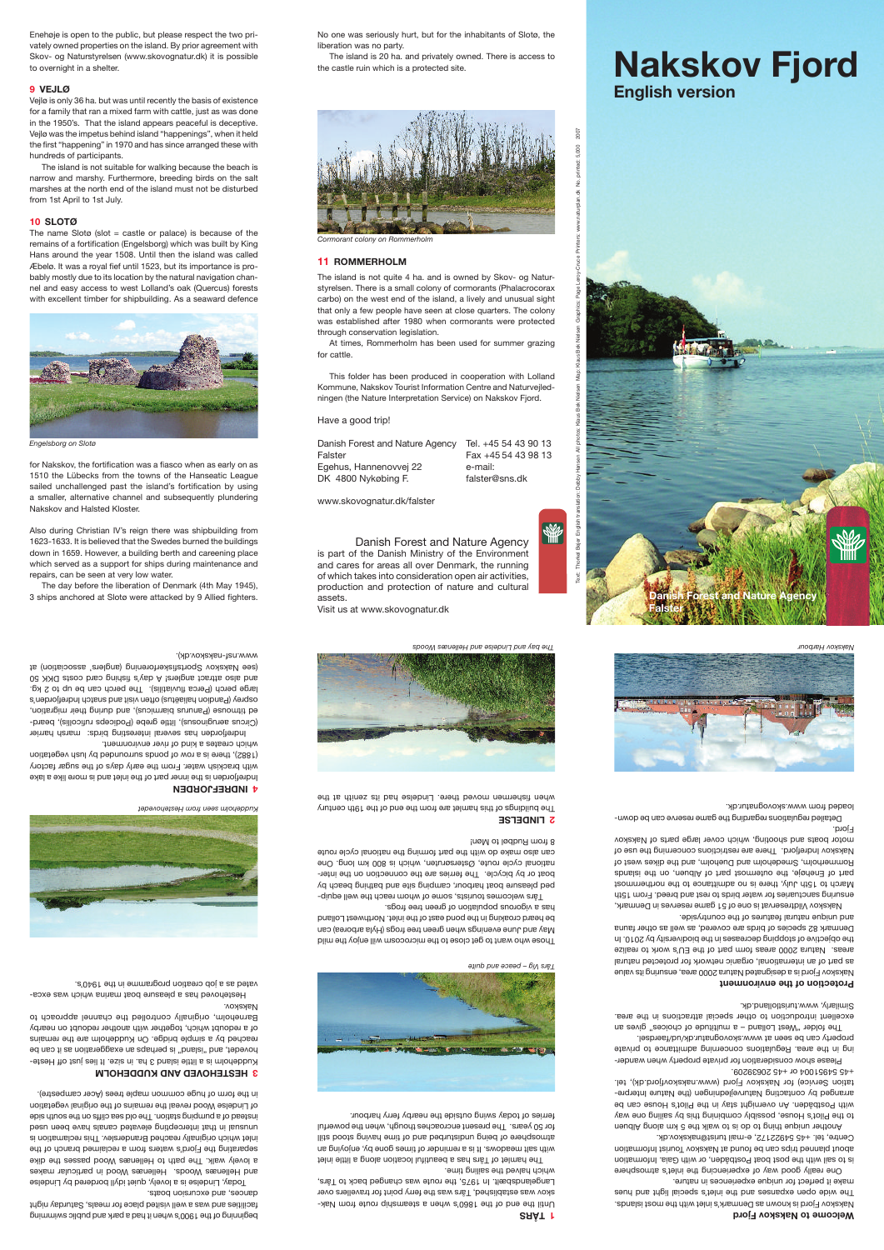Danish Forest and Nature Agency is part of the Danish Ministry of the Environment and cares for areas all over Denmark, the running of which takes into consideration open air activities, production and protection of nature and cultural assets.

Visit us at www.skovognatur.dk

Text: Thorkel Bejer English translation: Debby Hansen All photos: Klaus Bek Nielsen Map: Klaus Bek Nielsen Graphics: Page Leroy-Cruce Printers: www.naturplan.dk No. printed: 5,000 2007

2007



**Nakskov Fjord**

**English version** 

# **TÅRS 1**

Until the end of the 1860's when a steamship route from Nakskov was established, Tårs was the ferry point for travellers over Langelandsbælt. In 1975, the route was changed back to Tårs, which halved the sailing time.

The buildings of this hamlet are from the end of the 19th century when fishem moved there. Lindelse had its as the senith at the

The hamlet of Tårs has a beautiful location along a little inlet with salt meadows. It is a reminder of times gone by, enjoying an atmosphere of being undisturbed and of time having stood still for 50 years. The present encroaches though, when the powerful ferries of today swing outside the nearby ferry harbour.



Those who want to get close to the microcosm will enjoy the mild May and June evenings when green tree frogs (Hyla arborea) can be heard croaking in the pond east of the inlet. Northwest Lolland

has a vigorous population of green tree frogs.

Kuddeholm is a little island 3 har is a size. It lies just of Hestehovedet, and "island" is perhaps an exaggeration as it can be reached by a simple bridge. On Kuddeholm are the remains of a redoubt which, together with another redoubt on nearby Barneholm, originally controlled the channel approach to Nakskov.

Tårs welcomes tourists, some of whom reach the well equipped pleasure boat harbour, camping site and bathing beach by boat or by bicycle. The ferries are the connection on the international cycle route, Østersøruten, which is 800 km long. One can also make do with the part forming the national cycle route

Indrefjorden has several interesting birds: marsh harrier Circus aeruginosus), little grebe (Podiceps ruficollis), bearded titmouse (Panurus biarmicus), and during their migration, osprey (Pandion haliaëtus) often visit and snatch Indrefjorden's large perch (Perca fluviatilis). The perch can be up to 2 kg. and also attract anglers! A day's fining card costs DKK 50 (see Nakskov Sportsfiskerforening (anglers' association) at

8 from Rudbøl to Møn!

 **LINDELSE 2**

beginning of the 1900's when it had a park and public swimming facilities and was a well visited place for meals, Saturday night dances, and excursion boats.

Today, Lindelse is a lovely, quiet idyll bordered by Lindelse and Hellenæs Woods. Hellenæs Wood in particular makes a lovely walk. The path to Hellenæs Wood passes the dike separating the Fjord's waters from a reclaimed branch of the inlet which originally reached Branderslev. This reclamation is unusual in that intercepting elevated canals have been used instead of a pumping station. The old sea cliffs on the south side of Lindelse Wood reveal the remains of the original vegetation in the form of huge common maple trees (Acer campestre).

The name Slotø (slot  $=$  castle or palace) is because of the remains of a fortification (Engelsborg) which was built by King Hans around the year 1508. Until then the island was called Æbelø. It was a royal fief until 1523, but its importance is probably mostly due to its location by the natural navigation channel and easy access to west Lolland's oak (Quercus) forests with excellent timber for shipbuilding. As a seaward defence

#### **HESTEHOVED AND KUDDEHOLM 3**

for Nakskov, the fortification was a fiasco when as early on as 1510 the Lübecks from the towns of the Hanseatic League sailed unchallenged past the island's fortification by using a smaller, alternative channel and subsequently plundering Nakskov and Halsted Kloster.

Hestehoved has a pleasure boat marina which was excavated as a job creation programme in the 1940's.

 **INDREFJORDEN 4** Indrefjorden is the inner part of the inlet and is more like a lake with brackish water. From the early days of the sugar factory (1882), there is a row of ponds surrounded by lush vegetation which creates a kind of river environment.

www.nsf-nakskov.dk).

Enehøje is open to the public, but please respect the two privately owned properties on the island. By prior agreement with Skov- og Naturstyrelsen (www.skovognatur.dk) it is possible to overnight in a shelter.

> Another unique thing to be is to be thing the mand. to the Pilot's House, possibly combining this by sailing one way with Postbåden. An overnight stay in the Pilot's House can be arranged by contacting Naturvejledningen (the Nature Interpretation Service) for Nakskov Fjord (www.nakskovfjord.dk), tel. +45 54951004 or +45 20639209.

# **9 VEJLØ**

Vejlø is only 36 ha. but was until recently the basis of existence for a family that ran a mixed farm with cattle, just as was done in the 1950's. That the island appears peaceful is deceptive. Vejlø was the impetus behind island "happenings", when it held the first "happening" in 1970 and has since arranged these with hundreds of participants.

The island is not suitable for walking because the beach is narrow and marshy. Furthermore, breeding birds on the salt marshes at the north end of the island must not be disturbed from 1st April to 1st July.

#### **10 SLOTØ**

Also during Christian IV's reign there was shipbuilding from 1623-1633. It is believed that the Swedes burned the buildings down in 1659. However, a building berth and careening place which served as a support for ships during maintenance and repairs, can be seen at very low water.

3 ships anchored at Slotø were attacked by 9 Allied fighters.

The day before the liberation of Denmark (4th May 1945),

No one was seriously hurt, but for the inhabitants of Slotø, the liberation was no party.

The island is 20 ha. and privately owned. There is access to the castle ruin which is a protected site.

# **11 ROMMERHOLM**

The island is not quite 4 ha. and is owned by Skov- og Naturstyrelsen. There is a small colony of cormorants (Phalacrocorax carbo) on the west end of the island, a lively and unusual sight that only a few people have seen at close quarters. The colony was established after 1980 when cormorants were protected through conservation legislation.

At times, Rommerholm has been used for summer grazing for cattle.

This folder has been produced in cooperation with Lolland Kommune, Nakskov Tourist Information Centre and Naturvejledningen (the Nature Interpretation Service) on Nakskov Fjord.

Have a good trip!

| Danish Forest and Nature Agency | Tel. +45 54 43 90 13 |
|---------------------------------|----------------------|
| Falster                         | Fax +45 54 43 98 13  |
| Egehus, Hannenovvej 22          | e-mail:              |
| DK 4800 Nykøbing F.             | falster@sns.dk       |

www.skovognatur.dk/falster

*The bay and Lindelse and Hellenæs Woods*







# *Kuddeholm seen from Hestehovedet*





*Engelsborg on Slotø*





*Cormorant colony on Rommerholm*

*Tårs Vig – peace and quite*

## **Welcome to Nakskov Fjord**

Nakskov Fjord is known as Denmark's inlet with the most islands. The wide open expanses and the inlet's special light and hues make it perfect for unique experiences in nature.

One really good way of experiencing the inlet's atmosphere is to sail with the post boat Postbåden, or with Gaia. Information about planned trips can be found at Nakskov Tourist Information Centre, tel. +45 54922172, e-mail turist@nakskov.dk.

Please show consideration for private property when wandering in the area. Regulations concerning admittance to private property can be seen at www.skovognatur.dk/ud/faerdsel. The folder "West Lolland – a multitude of choices" gives an excellent introduction to other special attractions in the area.

Similarly, www.turistlolland.dk.

#### **Protection of the environment**

Nakskov Fjord is a designated Natura 2000 area, ensuring its value as part of an international, organic network for protected natural areas. Natura 2000 areas form part of the EU's work to realize

the objective of stopping decreases in the biodiversity by 2010. In Denmark 82 species of birds are covered, as well as other fauna

and unique natural features of the countryside.

Nakskov Vildtreservat is one of 51 game reserves in Denmark, ensuring sanctuaries for water birds to rest and breed. From 15th

March to 15th July, there is no admittance to the northernmost part of Enehøje, the outermost part of Albuen, on the islands Rommerholm, Smedeholm and Dueholm, and the dikes west of Nakskov Indrefjord. There are restrictions concerning the use of motor boats and shooting, which cover large parts of Nakskov

Fjord.

Detailed regulations regarding the game reserve can be downloaded from www.skovognatur.dk.

**Danish Forest and Nature Agency** 

**Falster**